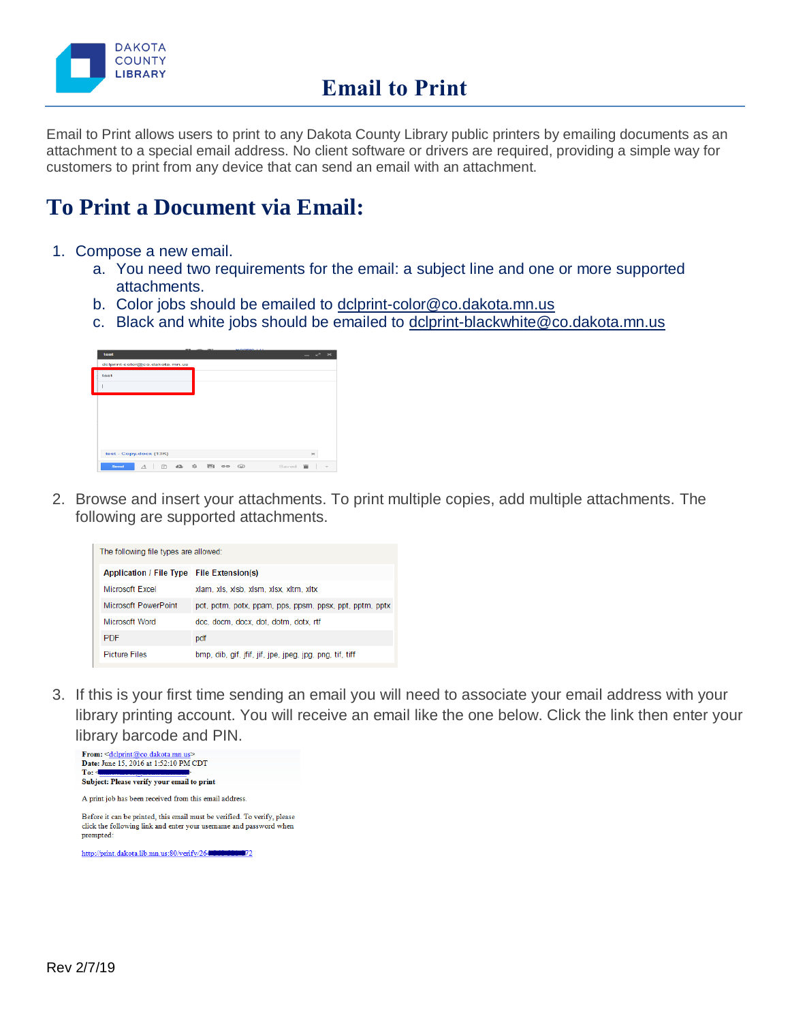

Email to Print allows users to print to any Dakota County Library public printers by emailing documents as an attachment to a special email address. No client software or drivers are required, providing a simple way for customers to print from any device that can send an email with an attachment.

## **To Print a Document via Email:**

- 1. Compose a new email.
	- a. You need two requirements for the email: a subject line and one or more supported attachments.
	- b. Color jobs should be emailed to [dclprint-color@co.dakota.mn.us](mailto:dclprint-color@co.dakota.mn.us)
	- c. Black and white jobs should be emailed to [dclprint-blackwhite@co.dakota.mn.us](mailto:dclprint-blackwhite@co.dakota.mn.us)

| delprint-color@co.dakota.mn.us<br>test<br>test - Copy.docx (13K)                                                 | test | --------- | $ \sim$ $\times$ |
|------------------------------------------------------------------------------------------------------------------|------|-----------|------------------|
|                                                                                                                  |      |           |                  |
|                                                                                                                  |      |           |                  |
|                                                                                                                  |      |           |                  |
|                                                                                                                  |      |           |                  |
|                                                                                                                  |      |           |                  |
|                                                                                                                  |      |           |                  |
|                                                                                                                  |      |           |                  |
|                                                                                                                  |      |           |                  |
|                                                                                                                  |      |           | $\!\times\!$     |
| $\Box$<br>$\frac{1}{2}$<br><b>IPRI</b><br>$\triangle$<br>$\odot$<br>Send<br>$\circ$<br>Saved<br>$\boldsymbol{A}$ |      |           |                  |

2. Browse and insert your attachments. To print multiple copies, add multiple attachments. The following are supported attachments.

|                                           | The following file types are allowed:                    |  |  |  |  |
|-------------------------------------------|----------------------------------------------------------|--|--|--|--|
| Application / File Type File Extension(s) |                                                          |  |  |  |  |
| Microsoft Excel                           | xlam, xls, xlsb, xlsm, xlsx, xltm, xltx                  |  |  |  |  |
| Microsoft PowerPoint                      | pot, potm, potx, ppam, pps, ppsm, ppsx, ppt, pptm, pptx  |  |  |  |  |
| Microsoft Word                            | doc. docm. docx. dot. dotm. dotx. rtf                    |  |  |  |  |
| <b>PDF</b>                                | pdf                                                      |  |  |  |  |
| <b>Picture Files</b>                      | bmp, dib, gif, jfif, jif, jpe, jpeg, jpg, png, tif, tiff |  |  |  |  |

3. If this is your first time sending an email you will need to associate your email address with your library printing account. You will receive an email like the one below. Click the link then enter your library barcode and PIN.



click the following link and enter your username and password when prompted:

http://print.dakota.lib.mn.us:80/verify/2640000000000072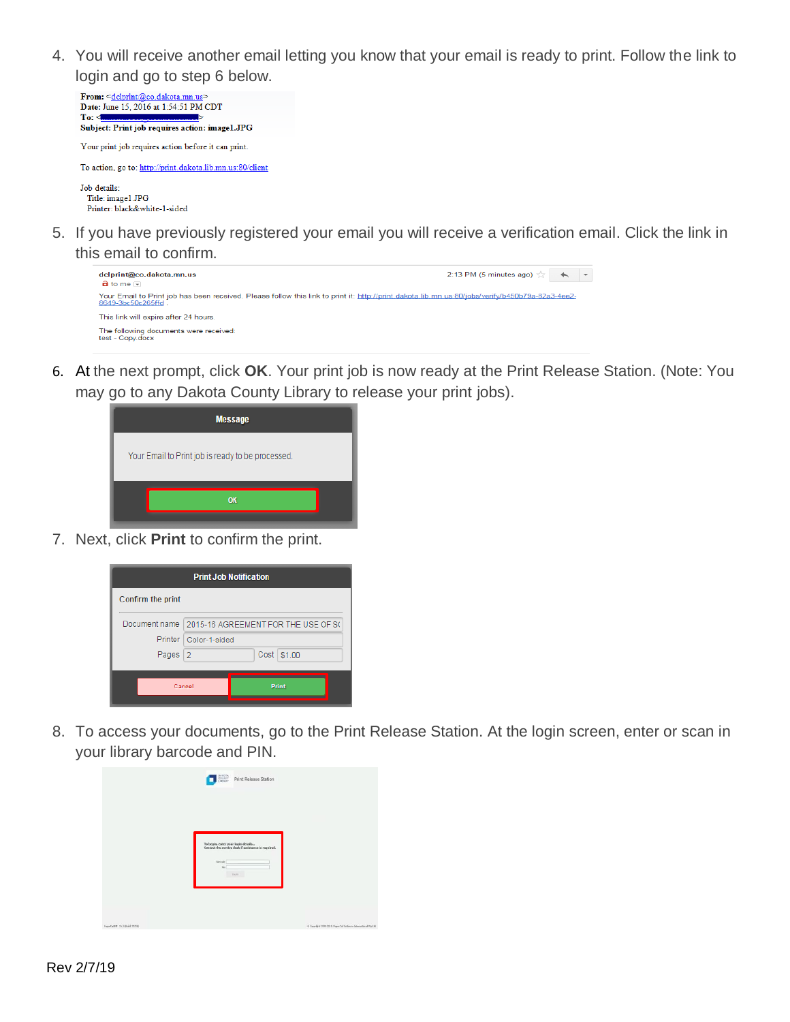4. You will receive another email letting you know that your email is ready to print. Follow the link to login and go to step 6 below.



5. If you have previously registered your email you will receive a verification email. Click the link in this email to confirm.



6. At the next prompt, click **OK**. Your print job is now ready at the Print Release Station. (Note: You may go to any Dakota County Library to release your print jobs).

| <b>Message</b>                                    |  |
|---------------------------------------------------|--|
| Your Email to Print job is ready to be processed. |  |
| OK                                                |  |

7. Next, click **Print** to confirm the print.



8. To access your documents, go to the Print Release Station. At the login screen, enter or scan in your library barcode and PIN.